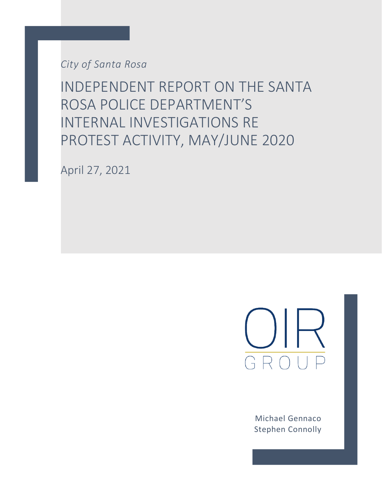*City of Santa Rosa*

INDEPENDENT REPORT ON THE SANTA ROSA POLICE DEPARTMENT'S INTERNAL INVESTIGATIONS RE PROTEST ACTIVITY, MAY/JUNE 2020

April 27, 2021



Michael Gennaco Stephen Connolly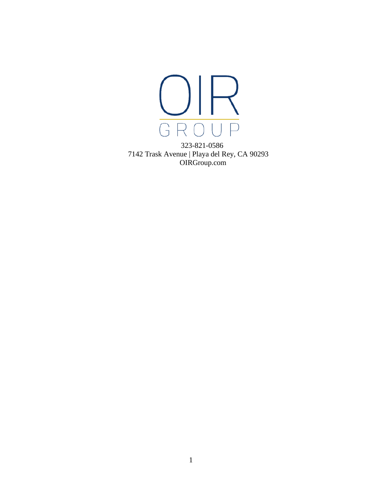

323-821-0586 7142 Trask Avenue | Playa del Rey, CA 90293 OIRGroup.com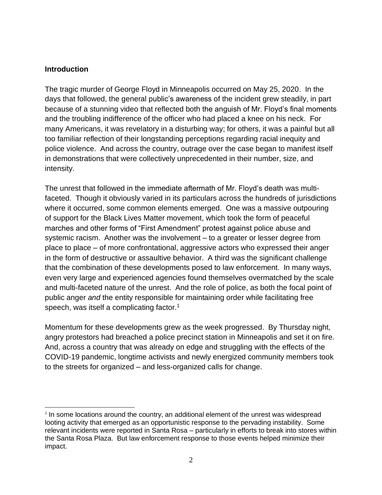### **Introduction**

The tragic murder of George Floyd in Minneapolis occurred on May 25, 2020. In the days that followed, the general public's awareness of the incident grew steadily, in part because of a stunning video that reflected both the anguish of Mr. Floyd's final moments and the troubling indifference of the officer who had placed a knee on his neck. For many Americans, it was revelatory in a disturbing way; for others, it was a painful but all too familiar reflection of their longstanding perceptions regarding racial inequity and police violence. And across the country, outrage over the case began to manifest itself in demonstrations that were collectively unprecedented in their number, size, and intensity.

The unrest that followed in the immediate aftermath of Mr. Floyd's death was multifaceted. Though it obviously varied in its particulars across the hundreds of jurisdictions where it occurred, some common elements emerged. One was a massive outpouring of support for the Black Lives Matter movement, which took the form of peaceful marches and other forms of "First Amendment" protest against police abuse and systemic racism. Another was the involvement – to a greater or lesser degree from place to place – of more confrontational, aggressive actors who expressed their anger in the form of destructive or assaultive behavior. A third was the significant challenge that the combination of these developments posed to law enforcement. In many ways, even very large and experienced agencies found themselves overmatched by the scale and multi-faceted nature of the unrest. And the role of police, as both the focal point of public anger *and* the entity responsible for maintaining order while facilitating free speech, was itself a complicating factor.<sup>1</sup>

Momentum for these developments grew as the week progressed. By Thursday night, angry protestors had breached a police precinct station in Minneapolis and set it on fire. And, across a country that was already on edge and struggling with the effects of the COVID-19 pandemic, longtime activists and newly energized community members took to the streets for organized – and less-organized calls for change.

 $1$  In some locations around the country, an additional element of the unrest was widespread looting activity that emerged as an opportunistic response to the pervading instability. Some relevant incidents were reported in Santa Rosa – particularly in efforts to break into stores within the Santa Rosa Plaza. But law enforcement response to those events helped minimize their impact.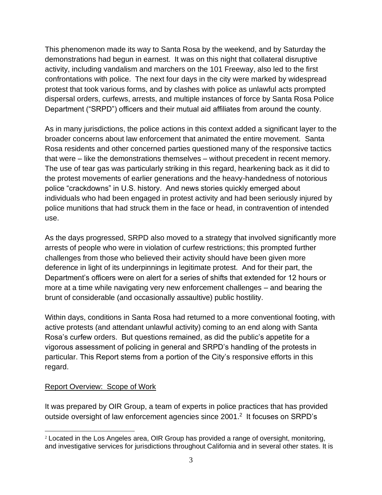This phenomenon made its way to Santa Rosa by the weekend, and by Saturday the demonstrations had begun in earnest. It was on this night that collateral disruptive activity, including vandalism and marchers on the 101 Freeway, also led to the first confrontations with police. The next four days in the city were marked by widespread protest that took various forms, and by clashes with police as unlawful acts prompted dispersal orders, curfews, arrests, and multiple instances of force by Santa Rosa Police Department ("SRPD") officers and their mutual aid affiliates from around the county.

As in many jurisdictions, the police actions in this context added a significant layer to the broader concerns about law enforcement that animated the entire movement. Santa Rosa residents and other concerned parties questioned many of the responsive tactics that were – like the demonstrations themselves – without precedent in recent memory. The use of tear gas was particularly striking in this regard, hearkening back as it did to the protest movements of earlier generations and the heavy-handedness of notorious police "crackdowns" in U.S. history. And news stories quickly emerged about individuals who had been engaged in protest activity and had been seriously injured by police munitions that had struck them in the face or head, in contravention of intended use.

As the days progressed, SRPD also moved to a strategy that involved significantly more arrests of people who were in violation of curfew restrictions; this prompted further challenges from those who believed their activity should have been given more deference in light of its underpinnings in legitimate protest. And for their part, the Department's officers were on alert for a series of shifts that extended for 12 hours or more at a time while navigating very new enforcement challenges – and bearing the brunt of considerable (and occasionally assaultive) public hostility.

Within days, conditions in Santa Rosa had returned to a more conventional footing, with active protests (and attendant unlawful activity) coming to an end along with Santa Rosa's curfew orders. But questions remained, as did the public's appetite for a vigorous assessment of policing in general and SRPD's handling of the protests in particular. This Report stems from a portion of the City's responsive efforts in this regard.

## Report Overview: Scope of Work

It was prepared by OIR Group, a team of experts in police practices that has provided outside oversight of law enforcement agencies since 2001.<sup>2</sup> It focuses on SRPD's

 $2$  Located in the Los Angeles area, OIR Group has provided a range of oversight, monitoring, and investigative services for jurisdictions throughout California and in several other states. It is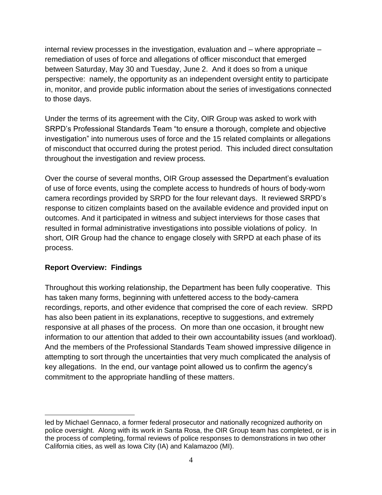internal review processes in the investigation, evaluation and – where appropriate – remediation of uses of force and allegations of officer misconduct that emerged between Saturday, May 30 and Tuesday, June 2. And it does so from a unique perspective: namely, the opportunity as an independent oversight entity to participate in, monitor, and provide public information about the series of investigations connected to those days.

Under the terms of its agreement with the City, OIR Group was asked to work with SRPD's Professional Standards Team "to ensure a thorough, complete and objective investigation" into numerous uses of force and the 15 related complaints or allegations of misconduct that occurred during the protest period. This included direct consultation throughout the investigation and review process.

Over the course of several months, OIR Group assessed the Department's evaluation of use of force events, using the complete access to hundreds of hours of body-worn camera recordings provided by SRPD for the four relevant days. It reviewed SRPD's response to citizen complaints based on the available evidence and provided input on outcomes. And it participated in witness and subject interviews for those cases that resulted in formal administrative investigations into possible violations of policy. In short, OIR Group had the chance to engage closely with SRPD at each phase of its process.

# **Report Overview: Findings**

Throughout this working relationship, the Department has been fully cooperative. This has taken many forms, beginning with unfettered access to the body-camera recordings, reports, and other evidence that comprised the core of each review. SRPD has also been patient in its explanations, receptive to suggestions, and extremely responsive at all phases of the process. On more than one occasion, it brought new information to our attention that added to their own accountability issues (and workload). And the members of the Professional Standards Team showed impressive diligence in attempting to sort through the uncertainties that very much complicated the analysis of key allegations. In the end, our vantage point allowed us to confirm the agency's commitment to the appropriate handling of these matters.

led by Michael Gennaco, a former federal prosecutor and nationally recognized authority on police oversight. Along with its work in Santa Rosa, the OIR Group team has completed, or is in the process of completing, formal reviews of police responses to demonstrations in two other California cities, as well as Iowa City (IA) and Kalamazoo (MI).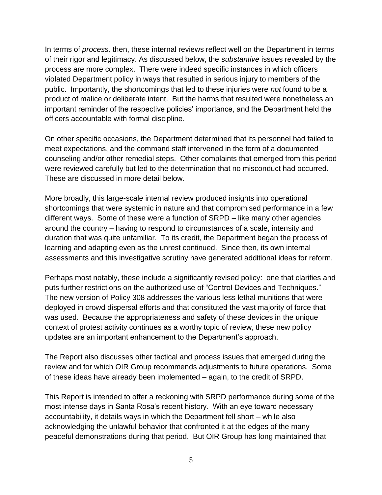In terms of *process,* then, these internal reviews reflect well on the Department in terms of their rigor and legitimacy. As discussed below, the *substantive* issues revealed by the process are more complex. There were indeed specific instances in which officers violated Department policy in ways that resulted in serious injury to members of the public. Importantly, the shortcomings that led to these injuries were *not* found to be a product of malice or deliberate intent. But the harms that resulted were nonetheless an important reminder of the respective policies' importance, and the Department held the officers accountable with formal discipline.

On other specific occasions, the Department determined that its personnel had failed to meet expectations, and the command staff intervened in the form of a documented counseling and/or other remedial steps. Other complaints that emerged from this period were reviewed carefully but led to the determination that no misconduct had occurred. These are discussed in more detail below.

More broadly, this large-scale internal review produced insights into operational shortcomings that were systemic in nature and that compromised performance in a few different ways. Some of these were a function of SRPD – like many other agencies around the country – having to respond to circumstances of a scale, intensity and duration that was quite unfamiliar. To its credit, the Department began the process of learning and adapting even as the unrest continued. Since then, its own internal assessments and this investigative scrutiny have generated additional ideas for reform.

Perhaps most notably, these include a significantly revised policy: one that clarifies and puts further restrictions on the authorized use of "Control Devices and Techniques." The new version of Policy 308 addresses the various less lethal munitions that were deployed in crowd dispersal efforts and that constituted the vast majority of force that was used. Because the appropriateness and safety of these devices in the unique context of protest activity continues as a worthy topic of review, these new policy updates are an important enhancement to the Department's approach.

The Report also discusses other tactical and process issues that emerged during the review and for which OIR Group recommends adjustments to future operations. Some of these ideas have already been implemented – again, to the credit of SRPD.

This Report is intended to offer a reckoning with SRPD performance during some of the most intense days in Santa Rosa's recent history. With an eye toward necessary accountability, it details ways in which the Department fell short – while also acknowledging the unlawful behavior that confronted it at the edges of the many peaceful demonstrations during that period. But OIR Group has long maintained that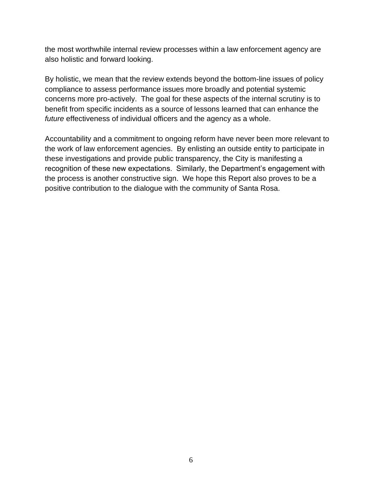the most worthwhile internal review processes within a law enforcement agency are also holistic and forward looking.

By holistic, we mean that the review extends beyond the bottom-line issues of policy compliance to assess performance issues more broadly and potential systemic concerns more pro-actively. The goal for these aspects of the internal scrutiny is to benefit from specific incidents as a source of lessons learned that can enhance the *future* effectiveness of individual officers and the agency as a whole.

Accountability and a commitment to ongoing reform have never been more relevant to the work of law enforcement agencies. By enlisting an outside entity to participate in these investigations and provide public transparency, the City is manifesting a recognition of these new expectations. Similarly, the Department's engagement with the process is another constructive sign. We hope this Report also proves to be a positive contribution to the dialogue with the community of Santa Rosa.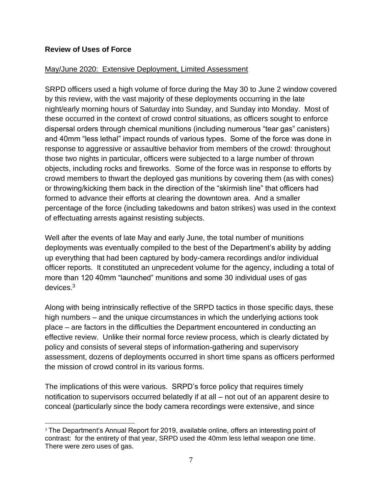### **Review of Uses of Force**

### May/June 2020: Extensive Deployment, Limited Assessment

SRPD officers used a high volume of force during the May 30 to June 2 window covered by this review, with the vast majority of these deployments occurring in the late night/early morning hours of Saturday into Sunday, and Sunday into Monday. Most of these occurred in the context of crowd control situations, as officers sought to enforce dispersal orders through chemical munitions (including numerous "tear gas" canisters) and 40mm "less lethal" impact rounds of various types. Some of the force was done in response to aggressive or assaultive behavior from members of the crowd: throughout those two nights in particular, officers were subjected to a large number of thrown objects, including rocks and fireworks. Some of the force was in response to efforts by crowd members to thwart the deployed gas munitions by covering them (as with cones) or throwing/kicking them back in the direction of the "skirmish line" that officers had formed to advance their efforts at clearing the downtown area. And a smaller percentage of the force (including takedowns and baton strikes) was used in the context of effectuating arrests against resisting subjects.

Well after the events of late May and early June, the total number of munitions deployments was eventually compiled to the best of the Department's ability by adding up everything that had been captured by body-camera recordings and/or individual officer reports. It constituted an unprecedent volume for the agency, including a total of more than 120 40mm "launched" munitions and some 30 individual uses of gas devices. $^3$ 

Along with being intrinsically reflective of the SRPD tactics in those specific days, these high numbers – and the unique circumstances in which the underlying actions took place – are factors in the difficulties the Department encountered in conducting an effective review. Unlike their normal force review process, which is clearly dictated by policy and consists of several steps of information-gathering and supervisory assessment, dozens of deployments occurred in short time spans as officers performed the mission of crowd control in its various forms.

The implications of this were various. SRPD's force policy that requires timely notification to supervisors occurred belatedly if at all – not out of an apparent desire to conceal (particularly since the body camera recordings were extensive, and since

<sup>&</sup>lt;sup>3</sup> The Department's Annual Report for 2019, available online, offers an interesting point of contrast: for the entirety of that year, SRPD used the 40mm less lethal weapon one time. There were zero uses of gas.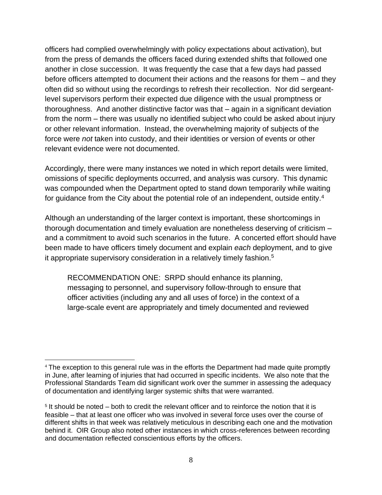officers had complied overwhelmingly with policy expectations about activation), but from the press of demands the officers faced during extended shifts that followed one another in close succession. It was frequently the case that a few days had passed before officers attempted to document their actions and the reasons for them – and they often did so without using the recordings to refresh their recollection. Nor did sergeantlevel supervisors perform their expected due diligence with the usual promptness or thoroughness. And another distinctive factor was that – again in a significant deviation from the norm – there was usually no identified subject who could be asked about injury or other relevant information. Instead, the overwhelming majority of subjects of the force were *not* taken into custody, and their identities or version of events or other relevant evidence were not documented.

Accordingly, there were many instances we noted in which report details were limited, omissions of specific deployments occurred, and analysis was cursory. This dynamic was compounded when the Department opted to stand down temporarily while waiting for guidance from the City about the potential role of an independent, outside entity.<sup>4</sup>

Although an understanding of the larger context is important, these shortcomings in thorough documentation and timely evaluation are nonetheless deserving of criticism – and a commitment to avoid such scenarios in the future. A concerted effort should have been made to have officers timely document and explain *each* deployment, and to give it appropriate supervisory consideration in a relatively timely fashion.<sup>5</sup>

RECOMMENDATION ONE: SRPD should enhance its planning, messaging to personnel, and supervisory follow-through to ensure that officer activities (including any and all uses of force) in the context of a large-scale event are appropriately and timely documented and reviewed

<sup>&</sup>lt;sup>4</sup> The exception to this general rule was in the efforts the Department had made quite promptly in June, after learning of injuries that had occurred in specific incidents. We also note that the Professional Standards Team did significant work over the summer in assessing the adequacy of documentation and identifying larger systemic shifts that were warranted.

<sup>&</sup>lt;sup>5</sup> It should be noted – both to credit the relevant officer and to reinforce the notion that it is feasible – that at least one officer who was involved in several force uses over the course of different shifts in that week was relatively meticulous in describing each one and the motivation behind it. OIR Group also noted other instances in which cross-references between recording and documentation reflected conscientious efforts by the officers.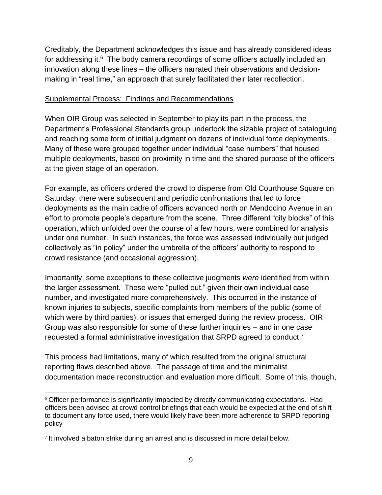Creditably, the Department acknowledges this issue and has already considered ideas for addressing it. $6$  The body camera recordings of some officers actually included an innovation along these lines – the officers narrated their observations and decisionmaking in "real time," an approach that surely facilitated their later recollection.

### Supplemental Process: Findings and Recommendations

When OIR Group was selected in September to play its part in the process, the Department's Professional Standards group undertook the sizable project of cataloguing and reaching some form of initial judgment on dozens of individual force deployments. Many of these were grouped together under individual "case numbers" that housed multiple deployments, based on proximity in time and the shared purpose of the officers at the given stage of an operation.

For example, as officers ordered the crowd to disperse from Old Courthouse Square on Saturday, there were subsequent and periodic confrontations that led to force deployments as the main cadre of officers advanced north on Mendocino Avenue in an effort to promote people's departure from the scene. Three different "city blocks" of this operation, which unfolded over the course of a few hours, were combined for analysis under one number. In such instances, the force was assessed individually but judged collectively as "in policy" under the umbrella of the officers' authority to respond to crowd resistance (and occasional aggression).

Importantly, some exceptions to these collective judgments *were* identified from within the larger assessment. These were "pulled out," given their own individual case number, and investigated more comprehensively. This occurred in the instance of known injuries to subjects, specific complaints from members of the public (some of which were by third parties), or issues that emerged during the review process. OIR Group was also responsible for some of these further inquiries – and in one case requested a formal administrative investigation that SRPD agreed to conduct.<sup>7</sup>

This process had limitations, many of which resulted from the original structural reporting flaws described above. The passage of time and the minimalist documentation made reconstruction and evaluation more difficult. Some of this, though,

<sup>&</sup>lt;sup>6</sup> Officer performance is significantly impacted by directly communicating expectations. Had officers been advised at crowd control briefings that each would be expected at the end of shift to document any force used, there would likely have been more adherence to SRPD reporting policy

 $7$  It involved a baton strike during an arrest and is discussed in more detail below.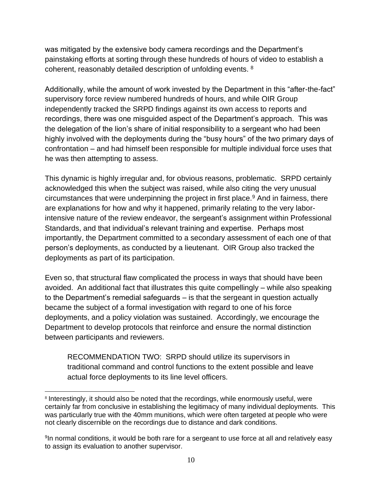was mitigated by the extensive body camera recordings and the Department's painstaking efforts at sorting through these hundreds of hours of video to establish a coherent, reasonably detailed description of unfolding events. <sup>8</sup>

Additionally, while the amount of work invested by the Department in this "after-the-fact" supervisory force review numbered hundreds of hours, and while OIR Group independently tracked the SRPD findings against its own access to reports and recordings, there was one misguided aspect of the Department's approach. This was the delegation of the lion's share of initial responsibility to a sergeant who had been highly involved with the deployments during the "busy hours" of the two primary days of confrontation – and had himself been responsible for multiple individual force uses that he was then attempting to assess.

This dynamic is highly irregular and, for obvious reasons, problematic. SRPD certainly acknowledged this when the subject was raised, while also citing the very unusual circumstances that were underpinning the project in first place.<sup>9</sup> And in fairness, there are explanations for how and why it happened, primarily relating to the very laborintensive nature of the review endeavor, the sergeant's assignment within Professional Standards, and that individual's relevant training and expertise. Perhaps most importantly, the Department committed to a secondary assessment of each one of that person's deployments, as conducted by a lieutenant. OIR Group also tracked the deployments as part of its participation.

Even so, that structural flaw complicated the process in ways that should have been avoided. An additional fact that illustrates this quite compellingly – while also speaking to the Department's remedial safeguards – is that the sergeant in question actually became the subject of a formal investigation with regard to one of his force deployments, and a policy violation was sustained. Accordingly, we encourage the Department to develop protocols that reinforce and ensure the normal distinction between participants and reviewers.

RECOMMENDATION TWO: SRPD should utilize its supervisors in traditional command and control functions to the extent possible and leave actual force deployments to its line level officers.

<sup>&</sup>lt;sup>8</sup> Interestingly, it should also be noted that the recordings, while enormously useful, were certainly far from conclusive in establishing the legitimacy of many individual deployments. This was particularly true with the 40mm munitions, which were often targeted at people who were not clearly discernible on the recordings due to distance and dark conditions.

<sup>&</sup>lt;sup>9</sup>In normal conditions, it would be both rare for a sergeant to use force at all and relatively easy to assign its evaluation to another supervisor.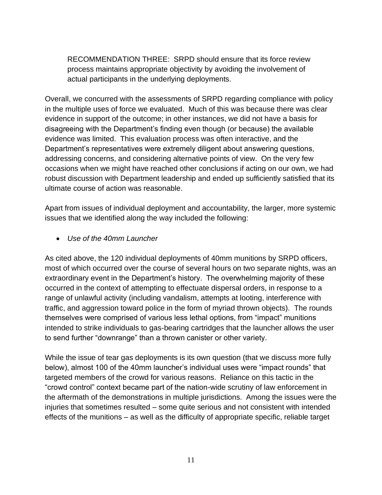RECOMMENDATION THREE: SRPD should ensure that its force review process maintains appropriate objectivity by avoiding the involvement of actual participants in the underlying deployments.

Overall, we concurred with the assessments of SRPD regarding compliance with policy in the multiple uses of force we evaluated. Much of this was because there was clear evidence in support of the outcome; in other instances, we did not have a basis for disagreeing with the Department's finding even though (or because) the available evidence was limited. This evaluation process was often interactive, and the Department's representatives were extremely diligent about answering questions, addressing concerns, and considering alternative points of view. On the very few occasions when we might have reached other conclusions if acting on our own, we had robust discussion with Department leadership and ended up sufficiently satisfied that its ultimate course of action was reasonable.

Apart from issues of individual deployment and accountability, the larger, more systemic issues that we identified along the way included the following:

• *Use of the 40mm Launcher*

As cited above, the 120 individual deployments of 40mm munitions by SRPD officers, most of which occurred over the course of several hours on two separate nights, was an extraordinary event in the Department's history. The overwhelming majority of these occurred in the context of attempting to effectuate dispersal orders, in response to a range of unlawful activity (including vandalism, attempts at looting, interference with traffic, and aggression toward police in the form of myriad thrown objects). The rounds themselves were comprised of various less lethal options, from "impact" munitions intended to strike individuals to gas-bearing cartridges that the launcher allows the user to send further "downrange" than a thrown canister or other variety.

While the issue of tear gas deployments is its own question (that we discuss more fully below), almost 100 of the 40mm launcher's individual uses were "impact rounds" that targeted members of the crowd for various reasons. Reliance on this tactic in the "crowd control" context became part of the nation-wide scrutiny of law enforcement in the aftermath of the demonstrations in multiple jurisdictions. Among the issues were the injuries that sometimes resulted – some quite serious and not consistent with intended effects of the munitions – as well as the difficulty of appropriate specific, reliable target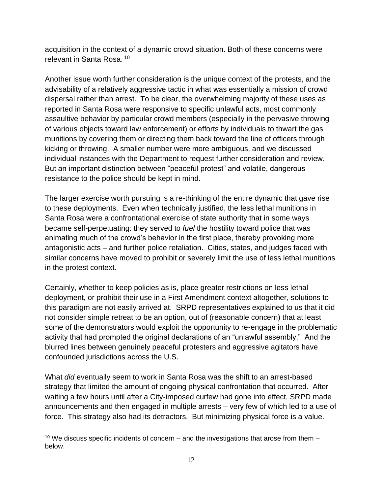acquisition in the context of a dynamic crowd situation. Both of these concerns were relevant in Santa Rosa. <sup>10</sup>

Another issue worth further consideration is the unique context of the protests, and the advisability of a relatively aggressive tactic in what was essentially a mission of crowd dispersal rather than arrest. To be clear, the overwhelming majority of these uses as reported in Santa Rosa were responsive to specific unlawful acts, most commonly assaultive behavior by particular crowd members (especially in the pervasive throwing of various objects toward law enforcement) or efforts by individuals to thwart the gas munitions by covering them or directing them back toward the line of officers through kicking or throwing. A smaller number were more ambiguous, and we discussed individual instances with the Department to request further consideration and review. But an important distinction between "peaceful protest" and volatile, dangerous resistance to the police should be kept in mind.

The larger exercise worth pursuing is a re-thinking of the entire dynamic that gave rise to these deployments. Even when technically justified, the less lethal munitions in Santa Rosa were a confrontational exercise of state authority that in some ways became self-perpetuating: they served to *fuel* the hostility toward police that was animating much of the crowd's behavior in the first place, thereby provoking more antagonistic acts – and further police retaliation. Cities, states, and judges faced with similar concerns have moved to prohibit or severely limit the use of less lethal munitions in the protest context.

Certainly, whether to keep policies as is, place greater restrictions on less lethal deployment, or prohibit their use in a First Amendment context altogether, solutions to this paradigm are not easily arrived at. SRPD representatives explained to us that it did not consider simple retreat to be an option, out of (reasonable concern) that at least some of the demonstrators would exploit the opportunity to re-engage in the problematic activity that had prompted the original declarations of an "unlawful assembly." And the blurred lines between genuinely peaceful protesters and aggressive agitators have confounded jurisdictions across the U.S.

What *did* eventually seem to work in Santa Rosa was the shift to an arrest-based strategy that limited the amount of ongoing physical confrontation that occurred. After waiting a few hours until after a City-imposed curfew had gone into effect, SRPD made announcements and then engaged in multiple arrests – very few of which led to a use of force. This strategy also had its detractors. But minimizing physical force is a value.

<sup>&</sup>lt;sup>10</sup> We discuss specific incidents of concern – and the investigations that arose from them – below.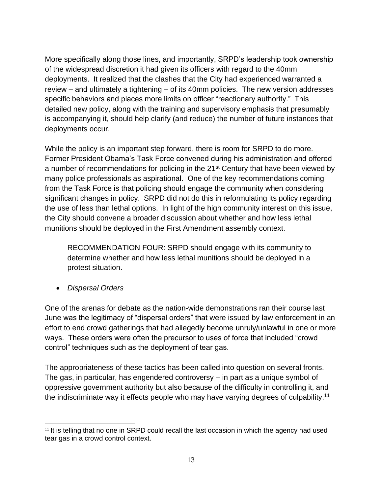More specifically along those lines, and importantly, SRPD's leadership took ownership of the widespread discretion it had given its officers with regard to the 40mm deployments. It realized that the clashes that the City had experienced warranted a review – and ultimately a tightening – of its 40mm policies. The new version addresses specific behaviors and places more limits on officer "reactionary authority." This detailed new policy, along with the training and supervisory emphasis that presumably is accompanying it, should help clarify (and reduce) the number of future instances that deployments occur.

While the policy is an important step forward, there is room for SRPD to do more. Former President Obama's Task Force convened during his administration and offered a number of recommendations for policing in the 21<sup>st</sup> Century that have been viewed by many police professionals as aspirational. One of the key recommendations coming from the Task Force is that policing should engage the community when considering significant changes in policy. SRPD did not do this in reformulating its policy regarding the use of less than lethal options. In light of the high community interest on this issue, the City should convene a broader discussion about whether and how less lethal munitions should be deployed in the First Amendment assembly context.

RECOMMENDATION FOUR: SRPD should engage with its community to determine whether and how less lethal munitions should be deployed in a protest situation.

• *Dispersal Orders*

One of the arenas for debate as the nation-wide demonstrations ran their course last June was the legitimacy of "dispersal orders" that were issued by law enforcement in an effort to end crowd gatherings that had allegedly become unruly/unlawful in one or more ways. These orders were often the precursor to uses of force that included "crowd control" techniques such as the deployment of tear gas.

The appropriateness of these tactics has been called into question on several fronts. The gas, in particular, has engendered controversy – in part as a unique symbol of oppressive government authority but also because of the difficulty in controlling it, and the indiscriminate way it effects people who may have varying degrees of culpability.<sup>11</sup>

 $11$  It is telling that no one in SRPD could recall the last occasion in which the agency had used tear gas in a crowd control context.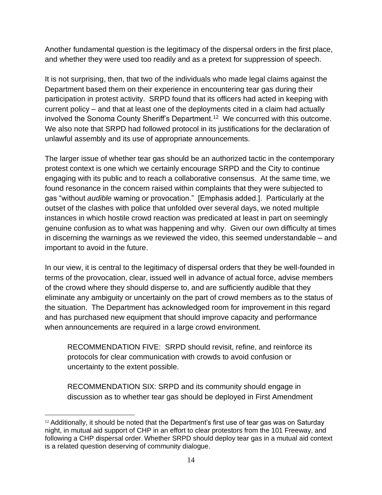Another fundamental question is the legitimacy of the dispersal orders in the first place, and whether they were used too readily and as a pretext for suppression of speech.

It is not surprising, then, that two of the individuals who made legal claims against the Department based them on their experience in encountering tear gas during their participation in protest activity. SRPD found that its officers had acted in keeping with current policy – and that at least one of the deployments cited in a claim had actually involved the Sonoma County Sheriff's Department.<sup>12</sup> We concurred with this outcome. We also note that SRPD had followed protocol in its justifications for the declaration of unlawful assembly and its use of appropriate announcements.

The larger issue of whether tear gas should be an authorized tactic in the contemporary protest context is one which we certainly encourage SRPD and the City to continue engaging with its public and to reach a collaborative consensus. At the same time, we found resonance in the concern raised within complaints that they were subjected to gas "without *audible* warning or provocation." [Emphasis added.]. Particularly at the outset of the clashes with police that unfolded over several days, we noted multiple instances in which hostile crowd reaction was predicated at least in part on seemingly genuine confusion as to what was happening and why. Given our own difficulty at times in discerning the warnings as we reviewed the video, this seemed understandable – and important to avoid in the future.

In our view, it is central to the legitimacy of dispersal orders that they be well-founded in terms of the provocation, clear, issued well in advance of actual force, advise members of the crowd where they should disperse to, and are sufficiently audible that they eliminate any ambiguity or uncertainly on the part of crowd members as to the status of the situation. The Department has acknowledged room for improvement in this regard and has purchased new equipment that should improve capacity and performance when announcements are required in a large crowd environment.

RECOMMENDATION FIVE: SRPD should revisit, refine, and reinforce its protocols for clear communication with crowds to avoid confusion or uncertainty to the extent possible.

RECOMMENDATION SIX: SRPD and its community should engage in discussion as to whether tear gas should be deployed in First Amendment

<sup>&</sup>lt;sup>12</sup> Additionally, it should be noted that the Department's first use of tear gas was on Saturday night, in mutual aid support of CHP in an effort to clear protestors from the 101 Freeway, and following a CHP dispersal order. Whether SRPD should deploy tear gas in a mutual aid context is a related question deserving of community dialogue.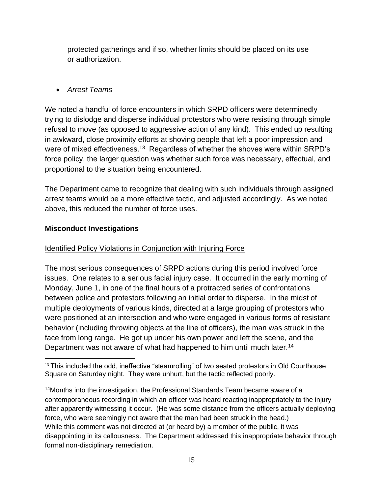protected gatherings and if so, whether limits should be placed on its use or authorization.

# • *Arrest Teams*

We noted a handful of force encounters in which SRPD officers were determinedly trying to dislodge and disperse individual protestors who were resisting through simple refusal to move (as opposed to aggressive action of any kind). This ended up resulting in awkward, close proximity efforts at shoving people that left a poor impression and were of mixed effectiveness.<sup>13</sup> Regardless of whether the shoves were within SRPD's force policy, the larger question was whether such force was necessary, effectual, and proportional to the situation being encountered.

The Department came to recognize that dealing with such individuals through assigned arrest teams would be a more effective tactic, and adjusted accordingly. As we noted above, this reduced the number of force uses.

## **Misconduct Investigations**

# Identified Policy Violations in Conjunction with Injuring Force

The most serious consequences of SRPD actions during this period involved force issues. One relates to a serious facial injury case. It occurred in the early morning of Monday, June 1, in one of the final hours of a protracted series of confrontations between police and protestors following an initial order to disperse. In the midst of multiple deployments of various kinds, directed at a large grouping of protestors who were positioned at an intersection and who were engaged in various forms of resistant behavior (including throwing objects at the line of officers), the man was struck in the face from long range. He got up under his own power and left the scene, and the Department was not aware of what had happened to him until much later.<sup>14</sup>

 $13$  This included the odd, ineffective "steamrolling" of two seated protestors in Old Courthouse Square on Saturday night. They were unhurt, but the tactic reflected poorly.

 $14$ Months into the investigation, the Professional Standards Team became aware of a contemporaneous recording in which an officer was heard reacting inappropriately to the injury after apparently witnessing it occur. (He was some distance from the officers actually deploying force, who were seemingly not aware that the man had been struck in the head.) While this comment was not directed at (or heard by) a member of the public, it was disappointing in its callousness. The Department addressed this inappropriate behavior through formal non-disciplinary remediation.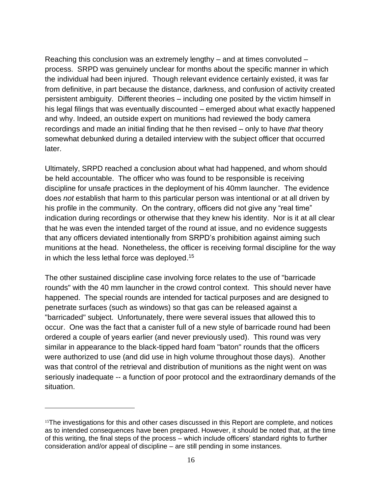Reaching this conclusion was an extremely lengthy – and at times convoluted – process. SRPD was genuinely unclear for months about the specific manner in which the individual had been injured. Though relevant evidence certainly existed, it was far from definitive, in part because the distance, darkness, and confusion of activity created persistent ambiguity. Different theories – including one posited by the victim himself in his legal filings that was eventually discounted – emerged about what exactly happened and why. Indeed, an outside expert on munitions had reviewed the body camera recordings and made an initial finding that he then revised – only to have *that* theory somewhat debunked during a detailed interview with the subject officer that occurred later.

Ultimately, SRPD reached a conclusion about what had happened, and whom should be held accountable. The officer who was found to be responsible is receiving discipline for unsafe practices in the deployment of his 40mm launcher. The evidence does *not* establish that harm to this particular person was intentional or at all driven by his profile in the community. On the contrary, officers did not give any "real time" indication during recordings or otherwise that they knew his identity. Nor is it at all clear that he was even the intended target of the round at issue, and no evidence suggests that any officers deviated intentionally from SRPD's prohibition against aiming such munitions at the head. Nonetheless, the officer is receiving formal discipline for the way in which the less lethal force was deployed.<sup>15</sup>

The other sustained discipline case involving force relates to the use of "barricade rounds" with the 40 mm launcher in the crowd control context. This should never have happened. The special rounds are intended for tactical purposes and are designed to penetrate surfaces (such as windows) so that gas can be released against a "barricaded" subject. Unfortunately, there were several issues that allowed this to occur. One was the fact that a canister full of a new style of barricade round had been ordered a couple of years earlier (and never previously used). This round was very similar in appearance to the black-tipped hard foam "baton" rounds that the officers were authorized to use (and did use in high volume throughout those days). Another was that control of the retrieval and distribution of munitions as the night went on was seriously inadequate -- a function of poor protocol and the extraordinary demands of the situation.

<sup>&</sup>lt;sup>15</sup>The investigations for this and other cases discussed in this Report are complete, and notices as to intended consequences have been prepared. However, it should be noted that, at the time of this writing, the final steps of the process – which include officers' standard rights to further consideration and/or appeal of discipline – are still pending in some instances.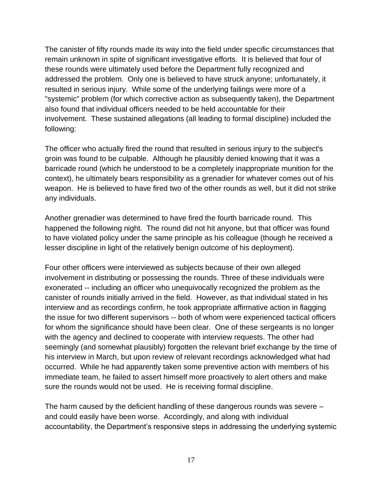The canister of fifty rounds made its way into the field under specific circumstances that remain unknown in spite of significant investigative efforts. It is believed that four of these rounds were ultimately used before the Department fully recognized and addressed the problem. Only one is believed to have struck anyone; unfortunately, it resulted in serious injury. While some of the underlying failings were more of a "systemic" problem (for which corrective action as subsequently taken), the Department also found that individual officers needed to be held accountable for their involvement. These sustained allegations (all leading to formal discipline) included the following:

The officer who actually fired the round that resulted in serious injury to the subject's groin was found to be culpable. Although he plausibly denied knowing that it was a barricade round (which he understood to be a completely inappropriate munition for the context), he ultimately bears responsibility as a grenadier for whatever comes out of his weapon. He is believed to have fired two of the other rounds as well, but it did not strike any individuals.

Another grenadier was determined to have fired the fourth barricade round. This happened the following night. The round did not hit anyone, but that officer was found to have violated policy under the same principle as his colleague (though he received a lesser discipline in light of the relatively benign outcome of his deployment).

Four other officers were interviewed as subjects because of their own alleged involvement in distributing or possessing the rounds. Three of these individuals were exonerated -- including an officer who unequivocally recognized the problem as the canister of rounds initially arrived in the field. However, as that individual stated in his interview and as recordings confirm, he took appropriate affirmative action in flagging the issue for two different supervisors -- both of whom were experienced tactical officers for whom the significance should have been clear. One of these sergeants is no longer with the agency and declined to cooperate with interview requests. The other had seemingly (and somewhat plausibly) forgotten the relevant brief exchange by the time of his interview in March, but upon review of relevant recordings acknowledged what had occurred. While he had apparently taken some preventive action with members of his immediate team, he failed to assert himself more proactively to alert others and make sure the rounds would not be used. He is receiving formal discipline.

The harm caused by the deficient handling of these dangerous rounds was severe – and could easily have been worse. Accordingly, and along with individual accountability, the Department's responsive steps in addressing the underlying systemic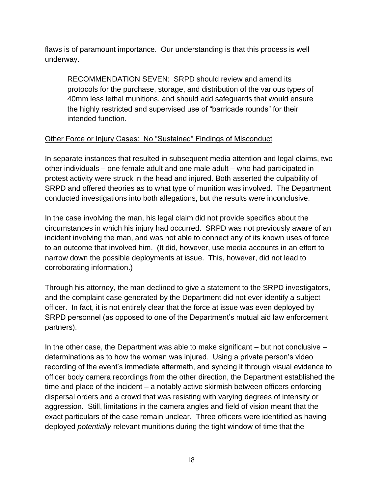flaws is of paramount importance. Our understanding is that this process is well underway.

RECOMMENDATION SEVEN: SRPD should review and amend its protocols for the purchase, storage, and distribution of the various types of 40mm less lethal munitions, and should add safeguards that would ensure the highly restricted and supervised use of "barricade rounds" for their intended function.

## Other Force or Injury Cases: No "Sustained" Findings of Misconduct

In separate instances that resulted in subsequent media attention and legal claims, two other individuals – one female adult and one male adult – who had participated in protest activity were struck in the head and injured. Both asserted the culpability of SRPD and offered theories as to what type of munition was involved. The Department conducted investigations into both allegations, but the results were inconclusive.

In the case involving the man, his legal claim did not provide specifics about the circumstances in which his injury had occurred. SRPD was not previously aware of an incident involving the man, and was not able to connect any of its known uses of force to an outcome that involved him. (It did, however, use media accounts in an effort to narrow down the possible deployments at issue. This, however, did not lead to corroborating information.)

Through his attorney, the man declined to give a statement to the SRPD investigators, and the complaint case generated by the Department did not ever identify a subject officer. In fact, it is not entirely clear that the force at issue was even deployed by SRPD personnel (as opposed to one of the Department's mutual aid law enforcement partners).

In the other case, the Department was able to make significant  $-$  but not conclusive  $$ determinations as to how the woman was injured. Using a private person's video recording of the event's immediate aftermath, and syncing it through visual evidence to officer body camera recordings from the other direction, the Department established the time and place of the incident – a notably active skirmish between officers enforcing dispersal orders and a crowd that was resisting with varying degrees of intensity or aggression. Still, limitations in the camera angles and field of vision meant that the exact particulars of the case remain unclear. Three officers were identified as having deployed *potentially* relevant munitions during the tight window of time that the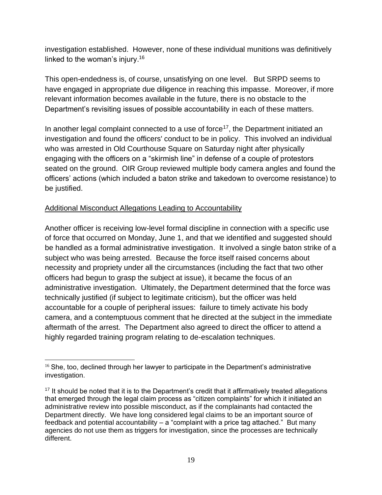investigation established. However, none of these individual munitions was definitively linked to the woman's injury.<sup>16</sup>

This open-endedness is, of course, unsatisfying on one level. But SRPD seems to have engaged in appropriate due diligence in reaching this impasse. Moreover, if more relevant information becomes available in the future, there is no obstacle to the Department's revisiting issues of possible accountability in each of these matters.

In another legal complaint connected to a use of force<sup>17</sup>, the Department initiated an investigation and found the officers' conduct to be in policy. This involved an individual who was arrested in Old Courthouse Square on Saturday night after physically engaging with the officers on a "skirmish line" in defense of a couple of protestors seated on the ground. OIR Group reviewed multiple body camera angles and found the officers' actions (which included a baton strike and takedown to overcome resistance) to be justified.

# Additional Misconduct Allegations Leading to Accountability

Another officer is receiving low-level formal discipline in connection with a specific use of force that occurred on Monday, June 1, and that we identified and suggested should be handled as a formal administrative investigation. It involved a single baton strike of a subject who was being arrested. Because the force itself raised concerns about necessity and propriety under all the circumstances (including the fact that two other officers had begun to grasp the subject at issue), it became the focus of an administrative investigation. Ultimately, the Department determined that the force was technically justified (if subject to legitimate criticism), but the officer was held accountable for a couple of peripheral issues: failure to timely activate his body camera, and a contemptuous comment that he directed at the subject in the immediate aftermath of the arrest. The Department also agreed to direct the officer to attend a highly regarded training program relating to de-escalation techniques.

 $16$  She, too, declined through her lawyer to participate in the Department's administrative investigation.

 $17$  It should be noted that it is to the Department's credit that it affirmatively treated allegations that emerged through the legal claim process as "citizen complaints" for which it initiated an administrative review into possible misconduct, as if the complainants had contacted the Department directly. We have long considered legal claims to be an important source of feedback and potential accountability – a "complaint with a price tag attached." But many agencies do not use them as triggers for investigation, since the processes are technically different.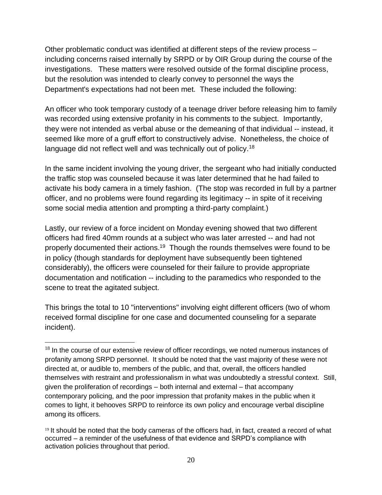Other problematic conduct was identified at different steps of the review process – including concerns raised internally by SRPD or by OIR Group during the course of the investigations. These matters were resolved outside of the formal discipline process, but the resolution was intended to clearly convey to personnel the ways the Department's expectations had not been met. These included the following:

An officer who took temporary custody of a teenage driver before releasing him to family was recorded using extensive profanity in his comments to the subject. Importantly, they were not intended as verbal abuse or the demeaning of that individual -- instead, it seemed like more of a gruff effort to constructively advise. Nonetheless, the choice of language did not reflect well and was technically out of policy.<sup>18</sup>

In the same incident involving the young driver, the sergeant who had initially conducted the traffic stop was counseled because it was later determined that he had failed to activate his body camera in a timely fashion. (The stop was recorded in full by a partner officer, and no problems were found regarding its legitimacy -- in spite of it receiving some social media attention and prompting a third-party complaint.)

Lastly, our review of a force incident on Monday evening showed that two different officers had fired 40mm rounds at a subject who was later arrested -- and had not properly documented their actions.<sup>19</sup> Though the rounds themselves were found to be in policy (though standards for deployment have subsequently been tightened considerably), the officers were counseled for their failure to provide appropriate documentation and notification -- including to the paramedics who responded to the scene to treat the agitated subject.

This brings the total to 10 "interventions" involving eight different officers (two of whom received formal discipline for one case and documented counseling for a separate incident).

 $18$  In the course of our extensive review of officer recordings, we noted numerous instances of profanity among SRPD personnel. It should be noted that the vast majority of these were not directed at, or audible to, members of the public, and that, overall, the officers handled themselves with restraint and professionalism in what was undoubtedly a stressful context. Still, given the proliferation of recordings – both internal and external – that accompany contemporary policing, and the poor impression that profanity makes in the public when it comes to light, it behooves SRPD to reinforce its own policy and encourage verbal discipline among its officers.

 $19$  It should be noted that the body cameras of the officers had, in fact, created a record of what occurred – a reminder of the usefulness of that evidence and SRPD's compliance with activation policies throughout that period.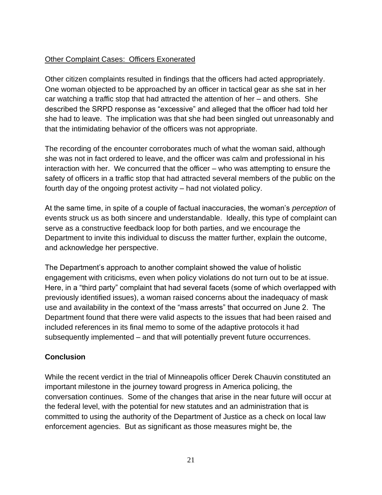# Other Complaint Cases: Officers Exonerated

Other citizen complaints resulted in findings that the officers had acted appropriately. One woman objected to be approached by an officer in tactical gear as she sat in her car watching a traffic stop that had attracted the attention of her – and others. She described the SRPD response as "excessive" and alleged that the officer had told her she had to leave. The implication was that she had been singled out unreasonably and that the intimidating behavior of the officers was not appropriate.

The recording of the encounter corroborates much of what the woman said, although she was not in fact ordered to leave, and the officer was calm and professional in his interaction with her. We concurred that the officer – who was attempting to ensure the safety of officers in a traffic stop that had attracted several members of the public on the fourth day of the ongoing protest activity – had not violated policy.

At the same time, in spite of a couple of factual inaccuracies, the woman's *perception* of events struck us as both sincere and understandable. Ideally, this type of complaint can serve as a constructive feedback loop for both parties, and we encourage the Department to invite this individual to discuss the matter further, explain the outcome, and acknowledge her perspective.

The Department's approach to another complaint showed the value of holistic engagement with criticisms, even when policy violations do not turn out to be at issue. Here, in a "third party" complaint that had several facets (some of which overlapped with previously identified issues), a woman raised concerns about the inadequacy of mask use and availability in the context of the "mass arrests" that occurred on June 2. The Department found that there were valid aspects to the issues that had been raised and included references in its final memo to some of the adaptive protocols it had subsequently implemented – and that will potentially prevent future occurrences.

## **Conclusion**

While the recent verdict in the trial of Minneapolis officer Derek Chauvin constituted an important milestone in the journey toward progress in America policing, the conversation continues. Some of the changes that arise in the near future will occur at the federal level, with the potential for new statutes and an administration that is committed to using the authority of the Department of Justice as a check on local law enforcement agencies. But as significant as those measures might be, the